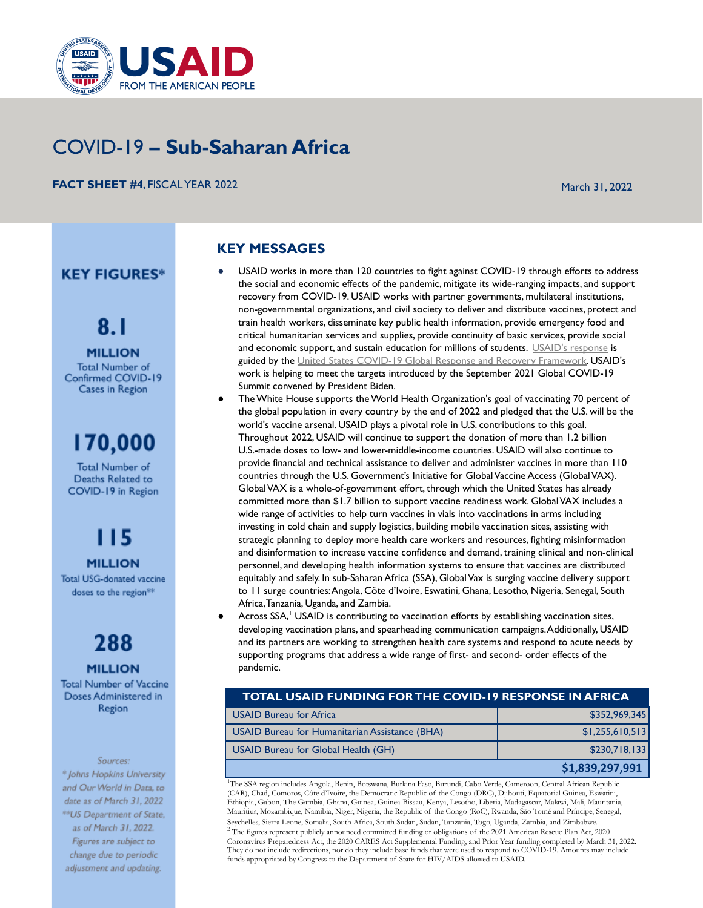

## COVID-19 **– Sub-Saharan Africa**

**FACT SHEET #4**, FISCAL YEAR 2022 March 31, 2022 March 31, 2022

## **KEY FIGURES•**

**8.1** 

**MILLION**  Total Number of Confirmed COVID- 19 Cases in Region

# **170,000**

Total Number of Deaths **Related** to COVID-19 in Region

## **I 15**

**MILLION**  Total USG-donated vaccine doses to the region<sup>\*\*</sup>

## **288**

### **MILLION**

Total Number of Vaccine **Doses Administered** in **Region** 

#### *Sources:*

¥ *johns Hopkms Umverncy*  and Our World in Data, to date as of March 31, 2022 \*\*US Department of State, as of *Maren* 3 I, 2022. Figures *are* sub;ecr *to change due co periodic.*  adjustment and updating.

### **KEY MESSAGES**

- USAID works in more than 120 countries to fight against COVID-19 through efforts to address the social and economic effects of the pandemic, mitigate its wide-ranging impacts, and support recovery from COVID-19. USAID works with partner governments, multilateral institutions, non-governmental organizations, and civil society to deliver and distribute vaccines, protect and train health workers, disseminate key public health information, provide emergency food and critical humanitarian services and supplies, provide continuity of basic services, provide social and economic support, and sustain education for millions of students. [USAID's response](https://www.usaid.gov/coronavirus/usaid-implementation-plan-covid-global-response-recovery-framework) is guided by the [United States COVID-19 Global Response](https://www.whitehouse.gov/wp-content/uploads/2021/07/U.S.-COVID-19-Global-Response-and-Recovery-Framework.pdf) and Recovery Framework. USAID's work is helping to meet the targets introduced by the September 2021 Global COVID-19 Summit convened by President Biden.
- The White House supports the World Health Organization's goal of vaccinating 70 percent of the global population in every country by the end of 2022 and pledged that the U.S. will be the world's vaccine arsenal. USAID plays a pivotal role in U.S. contributions to this goal. Throughout 2022, USAID will continue to support the donation of more than 1.2 billion U.S.-made doses to low- and lower-middle-income countries. USAID will also continue to provide financial and technical assistance to deliver and administer vaccines in more than 110 countries through the U.S. Government's Initiative for Global Vaccine Access (Global VAX). Global VAX is a whole-of-government effort, through which the United States has already committed more than \$1.7 billion to support vaccine readiness work. Global VAX includes a wide range of activities to help turn vaccines in vials into vaccinations in arms including investing in cold chain and supply logistics, building mobile vaccination sites, assisting with strategic planning to deploy more health care workers and resources, fighting misinformation and disinformation to increase vaccine confidence and demand, training clinical and non-clinical personnel, and developing health information systems to ensure that vaccines are distributed equitably and safely. In sub-Saharan Africa (SSA), Global Vax is surging vaccine delivery support to 11 surge countries: Angola, Côte d'Ivoire, Eswatini, Ghana, Lesotho, Nigeria, Senegal, South Africa,Tanzania, Uganda, and Zambia.
- Across SSA,<sup>1</sup> USAID is contributing to vaccination efforts by establishing vaccination sites, developing vaccination plans, and spearheading communication campaigns.Additionally, USAID and its partners are working to strengthen health care systems and respond to acute needs by supporting programs that address a wide range of first- and second- order effects of the pandemic.

| TOTAL USAID FUNDING FOR THE COVID-19 RESPONSE IN AFRICA \ |
|-----------------------------------------------------------|
|-----------------------------------------------------------|

| <b>USAID Bureau for Africa</b>                 | \$352,969,345   |
|------------------------------------------------|-----------------|
| USAID Bureau for Humanitarian Assistance (BHA) | \$1,255,610,513 |
| USAID Bureau for Global Health (GH)            | \$230,718,133   |
|                                                | \$1,839,297,991 |

<sup>1</sup>The SSA region includes Angola, Benin, Botswana, Burkina Faso, Burundi, Cabo Verde, Cameroon, Central African Republic (CAR), Chad, Comoros, Côte d'Ivoire, the Democratic Republic of the Congo (DRC), Djibouti, Equatorial Guinea, Eswatini, Ethiopia, Gabon, The Gambia, Ghana, Guinea, Guinea-Bissau, Kenya, Lesotho, Liberia, Madagascar, Malawi, Mali, Mauritania, Mauritius, Mozambique, Namibia, Niger, Nigeria, the Republic of the Congo (RoC), Rwanda, São Tomé and Príncipe, Senegal, Seychelles, Sierra Leone, Somalia, South Africa, South Sudan, Sudan, Tanzania, Togo, Uganda, Zambia, and Zimbabwe.

 $2$  The figures represent publicly announced committed funding or obligations of the 2021 American Rescue Plan Act, 2020 Coronavirus Preparedness Act, the 2020 CARES Act Supplemental Funding, and Prior Year funding completed by March 31, 2022. They do not include redirections, nor do they include base funds that were used to respond to COVID-19. Amounts may include funds appropriated by Congress to the Department of State for HIV/AIDS allowed to USAID.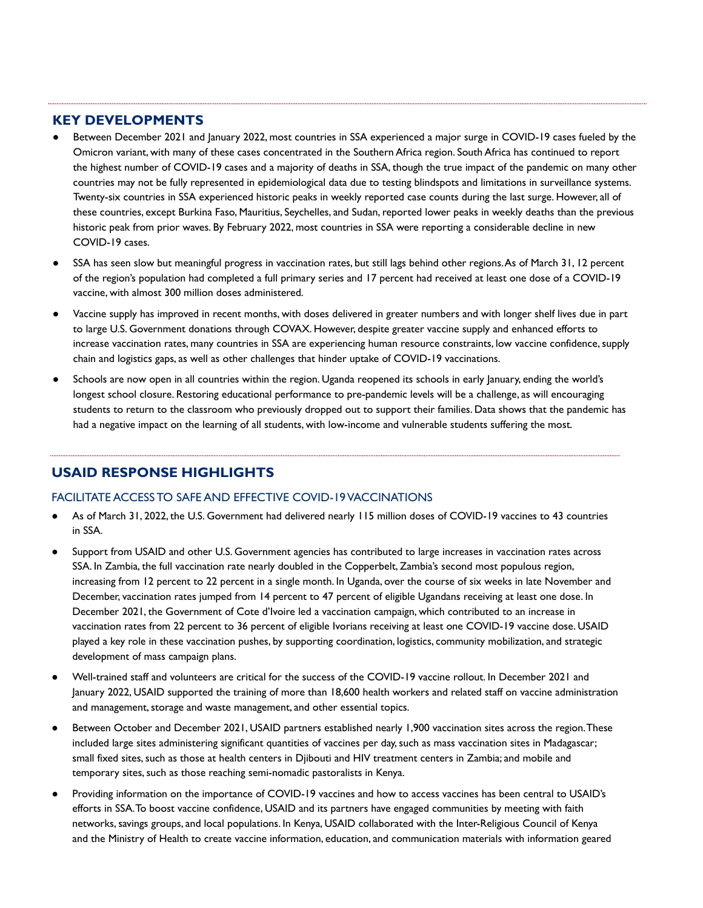### **KEY DEVELOPMENTS**

- Between December 2021 and January 2022, most countries in SSA experienced a major surge in COVID-19 cases fueled by the Omicron variant, with many of these cases concentrated in the Southern Africa region. South Africa has continued to report the highest number of COVID-19 cases and a majority of deaths in SSA, though the true impact of the pandemic on many other countries may not be fully represented in epidemiological data due to testing blindspots and limitations in surveillance systems. Twenty-six countries in SSA experienced historic peaks in weekly reported case counts during the last surge. However, all of these countries, except Burkina Faso, Mauritius, Seychelles, and Sudan, reported lower peaks in weekly deaths than the previous historic peak from prior waves. By February 2022, most countries in SSA were reporting a considerable decline in new COVID-19 cases.
- SSA has seen slow but meaningful progress in vaccination rates, but still lags behind other regions. As of March 31, 12 percent of the region's population had completed a full primary series and 17 percent had received at least one dose of a COVID-19 vaccine, with almost 300 million doses administered.
- Vaccine supply has improved in recent months, with doses delivered in greater numbers and with longer shelf lives due in part to large U.S. Government donations through COVAX. However, despite greater vaccine supply and enhanced efforts to increase vaccination rates, many countries in SSA are experiencing human resource constraints, low vaccine confidence, supply chain and logistics gaps, as well as other challenges that hinder uptake of COVID-19 vaccinations.
- Schools are now open in all countries within the region. Uganda reopened its schools in early January, ending the world's longest school closure. Restoring educational performance to pre-pandemic levels will be a challenge, as will encouraging students to return to the classroom who previously dropped out to support their families. Data shows that the pandemic has had a negative impact on the learning of all students, with low-income and vulnerable students suffering the most.

### **USAID RESPONSE HIGHLIGHTS**

#### FACILITATE ACCESS TO SAFE AND EFFECTIVE COVID-19 VACCINATIONS

- As of March 31, 2022, the U.S. Government had delivered nearly 115 million doses of COVID-19 vaccines to 43 countries in SSA.
- Support from USAID and other U.S. Government agencies has contributed to large increases in vaccination rates across SSA. In Zambia, the full vaccination rate nearly doubled in the Copperbelt, Zambia's second most populous region, increasing from 12 percent to 22 percent in a single month. In Uganda, over the course of six weeks in late November and December, vaccination rates jumped from 14 percent to 47 percent of eligible Ugandans receiving at least one dose. In December 2021, the Government of Cote d'Ivoire led a vaccination campaign, which contributed to an increase in vaccination rates from 22 percent to 36 percent of eligible Ivorians receiving at least one COVID-19 vaccine dose. USAID played a key role in these vaccination pushes, by supporting coordination, logistics, community mobilization, and strategic development of mass campaign plans.
- Well-trained staff and volunteers are critical for the success of the COVID-19 vaccine rollout. In December 2021 and January 2022, USAID supported the training of more than 18,600 health workers and related staff on vaccine administration and management, storage and waste management, and other essential topics.
- Between October and December 2021, USAID partners established nearly 1,900 vaccination sites across the region. These included large sites administering significant quantities of vaccines per day, such as mass vaccination sites in Madagascar; small fixed sites, such as those at health centers in Djibouti and HIV treatment centers in Zambia; and mobile and temporary sites, such as those reaching semi-nomadic pastoralists in Kenya.
- Providing information on the importance of COVID-19 vaccines and how to access vaccines has been central to USAID's efforts in SSA. To boost vaccine confidence, USAID and its partners have engaged communities by meeting with faith networks, savings groups, and local populations. In Kenya, USAID collaborated with the Inter-Religious Council of Kenya and the Ministry of Health to create vaccine information, education, and communication materials with information geared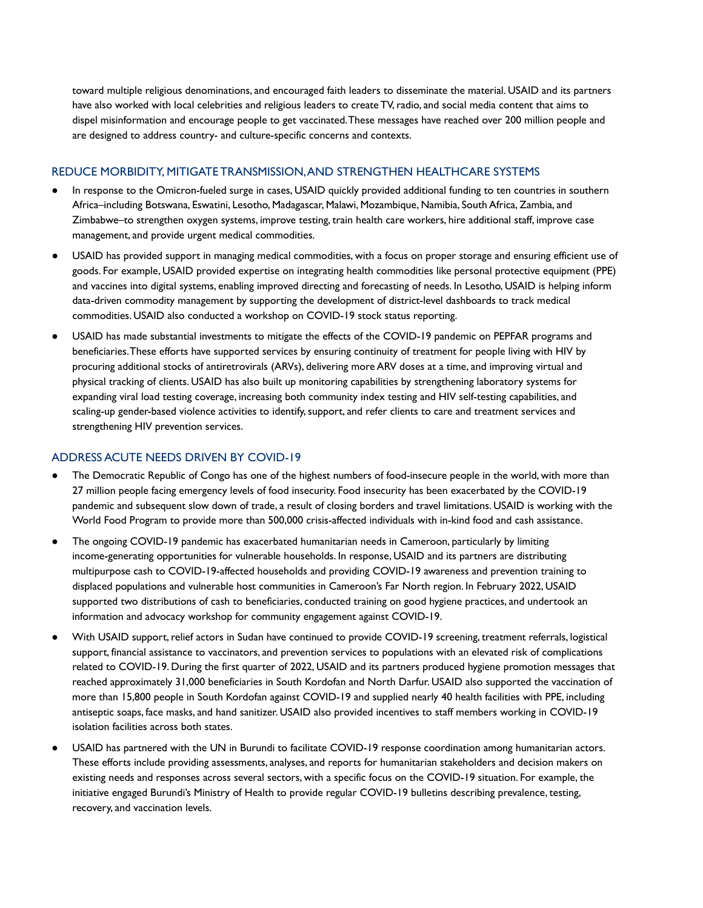toward multiple religious denominations, and encouraged faith leaders to disseminate the material. USAID and its partners have also worked with local celebrities and religious leaders to create TV,radio, and social media content that aims to dispel misinformation and encourage people to get vaccinated.These messages have reached over 200 million people and are designed to address country- and culture-specific concerns and contexts.

#### REDUCE MORBIDITY, MITIGATE TRANSMISSION,AND STRENGTHEN HEALTHCARE SYSTEMS

- ● In response to the Omicron-fueled surge in cases, USAID quickly provided additional funding to ten countries in southern Africa–including Botswana, Eswatini, Lesotho, Madagascar, Malawi, Mozambique, Namibia, South Africa, Zambia, and Zimbabwe–to strengthen oxygen systems, improve testing, train health care workers, hire additional staff, improve case management, and provide urgent medical commodities.
- ● USAID has provided support in managing medical commodities, with a focus on proper storage and ensuring efficient use of goods. For example, USAID provided expertise on integrating health commodities like personal protective equipment (PPE) and vaccines into digital systems, enabling improved directing and forecasting of needs. In Lesotho, USAID is helping inform data-driven commodity management by supporting the development of district-level dashboards to track medical commodities. USAID also conducted a workshop on COVID-19 stock status reporting.
- ● USAID has made substantial investments to mitigate the effects of the COVID-19 pandemic on PEPFAR programs and beneficiaries.These efforts have supported services by ensuring continuity of treatment for people living with HIV by procuring additional stocks of antiretrovirals (ARVs), delivering more ARV doses at a time, and improving virtual and physical tracking of clients. USAID has also built up monitoring capabilities by strengthening laboratory systems for expanding viral load testing coverage, increasing both community index testing and HIV self-testing capabilities, and scaling-up gender-based violence activities to identify,support, and refer clients to care and treatment services and strengthening HIV prevention services.

#### ADDRESS ACUTE NEEDS DRIVEN BY COVID-19

- ● The Democratic Republic of Congo has one of the highest numbers of food-insecure people in the world, with more than 27 million people facing emergency levels of food insecurity. Food insecurity has been exacerbated by the COVID-19 pandemic and subsequent slow down of trade, a result of closing borders and travel limitations. USAID is working with the World Food Program to provide more than 500,000 crisis-affected individuals with in-kind food and cash assistance.
- ● The ongoing COVID-19 pandemic has exacerbated humanitarian needs in Cameroon, particularly by limiting income-generating opportunities for vulnerable households. In response, USAID and its partners are distributing multipurpose cash to COVID-19-affected households and providing COVID-19 awareness and prevention training to displaced populations and vulnerable host communities in Cameroon's Far North region. In February 2022, USAID supported two distributions of cash to beneficiaries, conducted training on good hygiene practices, and undertook an information and advocacy workshop for community engagement against COVID-19.
- With USAID support, relief actors in Sudan have continued to provide COVID-19 screening, treatment referrals, logistical support, financial assistance to vaccinators, and prevention services to populations with an elevated risk of complications related to COVID-19. During the first quarter of 2022, USAID and its partners produced hygiene promotion messages that reached approximately 31,000 beneficiaries in South Kordofan and North Darfur. USAID also supported the vaccination of more than 15,800 people in South Kordofan against COVID-19 and supplied nearly 40 health facilities with PPE, including antiseptic soaps, face masks, and hand sanitizer. USAID also provided incentives to staff members working in COVID-19 isolation facilities across both states.
- ● USAID has partnered with the UN in Burundi to facilitate COVID-19 response coordination among humanitarian actors. These efforts include providing assessments, analyses, and reports for humanitarian stakeholders and decision makers on existing needs and responses across several sectors, with a specific focus on the COVID-19 situation. For example, the initiative engaged Burundi's Ministry of Health to provide regular COVID-19 bulletins describing prevalence, testing, recovery, and vaccination levels.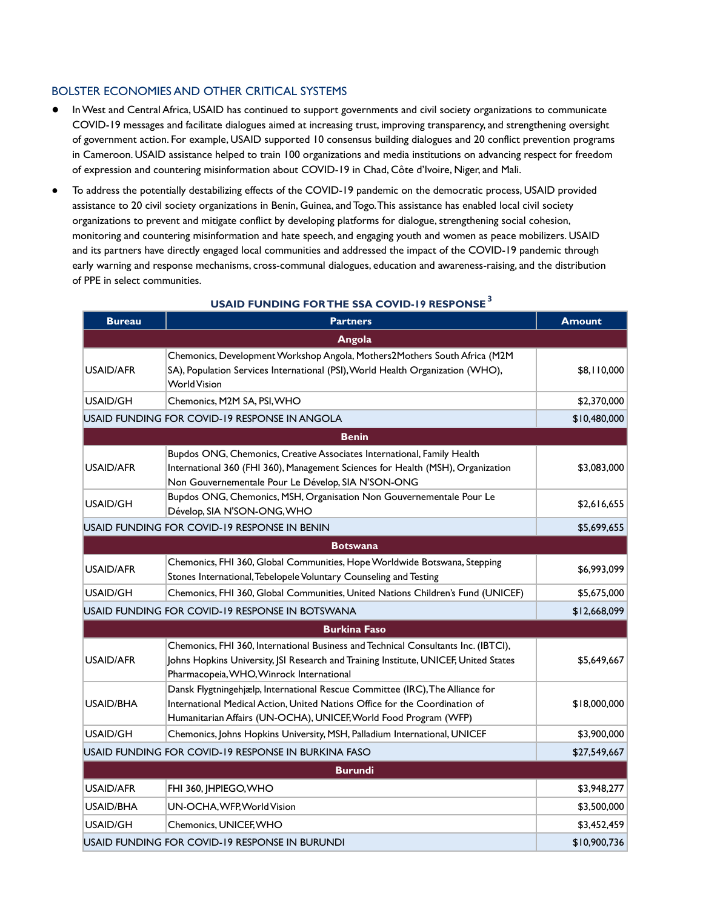#### BOLSTER ECONOMIES AND OTHER CRITICAL SYSTEMS

- ● InWest and Central Africa, USAID has continued to support governments and civil society organizations to communicate COVID-19 messages and facilitate dialogues aimed at increasing trust, improving transparency, and strengthening oversight of government action. For example, USAID supported 10 consensus building dialogues and 20 conflict prevention programs in Cameroon. USAID assistance helped to train 100 organizations and media institutions on advancing respect for freedom of expression and countering misinformation about COVID-19 in Chad, Côte d'Ivoire, Niger, and Mali.
- ● To address the potentially destabilizing effects of the COVID-19 pandemic on the democratic process, USAID provided assistance to 20 civil society organizations in Benin, Guinea, and Togo.This assistance has enabled local civil society organizations to prevent and mitigate conflict by developing platforms for dialogue, strengthening social cohesion, monitoring and countering misinformation and hate speech, and engaging youth and women as peace mobilizers. USAID and its partners have directly engaged local communities and addressed the impact of the COVID-19 pandemic through early warning and response mechanisms, cross-communal dialogues, education and awareness-raising, and the distribution of PPE in select communities.

| <b>Bureau</b>                                  | <b>Partners</b>                                                                                                                                                                                                                  | <b>Amount</b> |  |
|------------------------------------------------|----------------------------------------------------------------------------------------------------------------------------------------------------------------------------------------------------------------------------------|---------------|--|
|                                                | <b>Angola</b>                                                                                                                                                                                                                    |               |  |
| USAID/AFR                                      | Chemonics, Development Workshop Angola, Mothers2Mothers South Africa (M2M<br>SA), Population Services International (PSI), World Health Organization (WHO),<br><b>World Vision</b>                                               | \$8,110,000   |  |
| USAID/GH                                       | Chemonics, M2M SA, PSI, WHO                                                                                                                                                                                                      | \$2,370,000   |  |
|                                                | USAID FUNDING FOR COVID-19 RESPONSE IN ANGOLA                                                                                                                                                                                    | \$10,480,000  |  |
|                                                | <b>Benin</b>                                                                                                                                                                                                                     |               |  |
| <b>USAID/AFR</b>                               | Bupdos ONG, Chemonics, Creative Associates International, Family Health<br>International 360 (FHI 360), Management Sciences for Health (MSH), Organization<br>Non Gouvernementale Pour Le Dévelop, SIA N'SON-ONG                 | \$3,083,000   |  |
| <b>USAID/GH</b>                                | Bupdos ONG, Chemonics, MSH, Organisation Non Gouvernementale Pour Le<br>Dévelop, SIA N'SON-ONG, WHO                                                                                                                              | \$2,616,655   |  |
|                                                | USAID FUNDING FOR COVID-19 RESPONSE IN BENIN                                                                                                                                                                                     | \$5,699,655   |  |
|                                                | <b>Botswana</b>                                                                                                                                                                                                                  |               |  |
| <b>USAID/AFR</b>                               | Chemonics, FHI 360, Global Communities, Hope Worldwide Botswana, Stepping<br>Stones International, Tebelopele Voluntary Counseling and Testing                                                                                   | \$6,993,099   |  |
| <b>USAID/GH</b>                                | Chemonics, FHI 360, Global Communities, United Nations Children's Fund (UNICEF)                                                                                                                                                  | \$5,675,000   |  |
|                                                | USAID FUNDING FOR COVID-19 RESPONSE IN BOTSWANA                                                                                                                                                                                  | \$12,668,099  |  |
| <b>Burkina Faso</b>                            |                                                                                                                                                                                                                                  |               |  |
| <b>USAID/AFR</b>                               | Chemonics, FHI 360, International Business and Technical Consultants Inc. (IBTCI),<br>Johns Hopkins University, JSI Research and Training Institute, UNICEF, United States<br>Pharmacopeia, WHO, Winrock International           | \$5,649,667   |  |
| <b>USAID/BHA</b>                               | Dansk Flygtningehjælp, International Rescue Committee (IRC), The Alliance for<br>International Medical Action, United Nations Office for the Coordination of<br>Humanitarian Affairs (UN-OCHA), UNICEF, World Food Program (WFP) | \$18,000,000  |  |
| USAID/GH                                       | Chemonics, Johns Hopkins University, MSH, Palladium International, UNICEF                                                                                                                                                        | \$3,900,000   |  |
|                                                | USAID FUNDING FOR COVID-19 RESPONSE IN BURKINA FASO                                                                                                                                                                              | \$27,549,667  |  |
| <b>Burundi</b>                                 |                                                                                                                                                                                                                                  |               |  |
| <b>USAID/AFR</b>                               | FHI 360, JHPIEGO, WHO                                                                                                                                                                                                            | \$3,948,277   |  |
| <b>USAID/BHA</b>                               | UN-OCHA, WFP, World Vision                                                                                                                                                                                                       | \$3,500,000   |  |
| USAID/GH                                       | Chemonics, UNICEF, WHO                                                                                                                                                                                                           | \$3.452.459   |  |
| USAID FUNDING FOR COVID-19 RESPONSE IN BURUNDI |                                                                                                                                                                                                                                  | \$10,900,736  |  |

#### **USAID FUNDING FOR THE SSA COVID-19 RESPONSE <sup>3</sup>**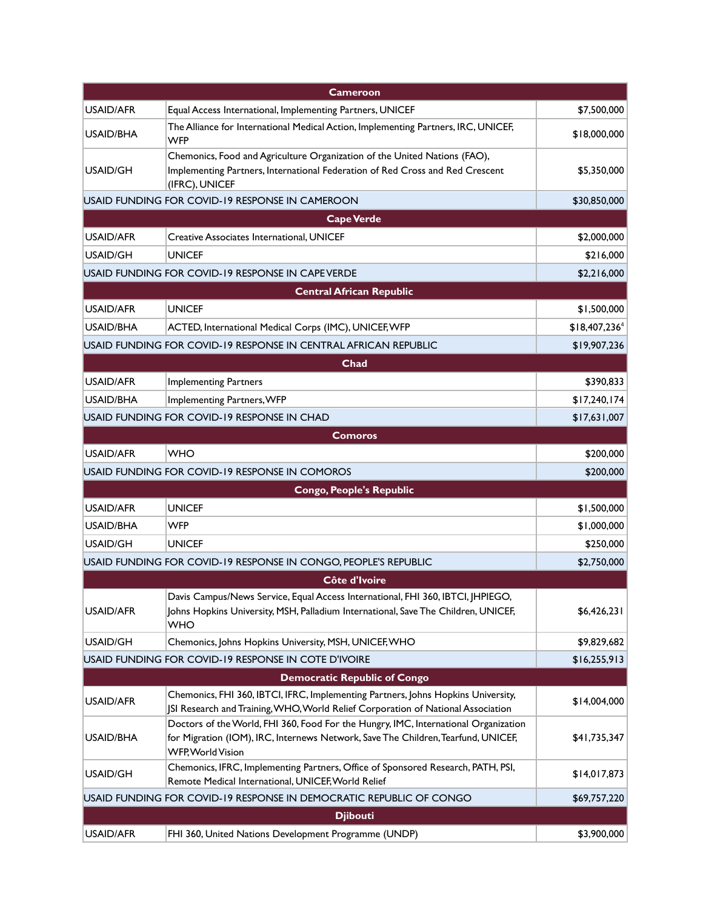|                                     | <b>Cameroon</b>                                                                                                                                                                                      |               |  |  |
|-------------------------------------|------------------------------------------------------------------------------------------------------------------------------------------------------------------------------------------------------|---------------|--|--|
| <b>USAID/AFR</b>                    | Equal Access International, Implementing Partners, UNICEF                                                                                                                                            | \$7,500,000   |  |  |
| <b>USAID/BHA</b>                    | The Alliance for International Medical Action, Implementing Partners, IRC, UNICEF,<br><b>WFP</b>                                                                                                     | \$18,000,000  |  |  |
| USAID/GH                            | Chemonics, Food and Agriculture Organization of the United Nations (FAO),<br>Implementing Partners, International Federation of Red Cross and Red Crescent<br>(IFRC), UNICEF                         | \$5,350,000   |  |  |
|                                     | USAID FUNDING FOR COVID-19 RESPONSE IN CAMEROON                                                                                                                                                      | \$30,850,000  |  |  |
|                                     | <b>Cape Verde</b>                                                                                                                                                                                    |               |  |  |
| <b>USAID/AFR</b>                    | Creative Associates International, UNICEF                                                                                                                                                            | \$2,000,000   |  |  |
| USAID/GH                            | <b>UNICEF</b>                                                                                                                                                                                        | \$216,000     |  |  |
|                                     | USAID FUNDING FOR COVID-19 RESPONSE IN CAPEVERDE                                                                                                                                                     | \$2,216,000   |  |  |
|                                     | <b>Central African Republic</b>                                                                                                                                                                      |               |  |  |
| <b>USAID/AFR</b>                    | <b>UNICEF</b>                                                                                                                                                                                        | \$1,500,000   |  |  |
| <b>USAID/BHA</b>                    | ACTED, International Medical Corps (IMC), UNICEF, WFP                                                                                                                                                | \$18,407,2364 |  |  |
|                                     | USAID FUNDING FOR COVID-19 RESPONSE IN CENTRAL AFRICAN REPUBLIC                                                                                                                                      | \$19,907,236  |  |  |
|                                     | Chad                                                                                                                                                                                                 |               |  |  |
| <b>USAID/AFR</b>                    | <b>Implementing Partners</b>                                                                                                                                                                         | \$390,833     |  |  |
| USAID/BHA                           | Implementing Partners, WFP                                                                                                                                                                           | \$17,240,174  |  |  |
|                                     | USAID FUNDING FOR COVID-19 RESPONSE IN CHAD                                                                                                                                                          | \$17,631,007  |  |  |
|                                     | <b>Comoros</b>                                                                                                                                                                                       |               |  |  |
| <b>USAID/AFR</b>                    | <b>WHO</b>                                                                                                                                                                                           | \$200,000     |  |  |
|                                     | USAID FUNDING FOR COVID-19 RESPONSE IN COMOROS                                                                                                                                                       | \$200,000     |  |  |
|                                     | <b>Congo, People's Republic</b>                                                                                                                                                                      |               |  |  |
| <b>USAID/AFR</b>                    | <b>UNICEF</b>                                                                                                                                                                                        | \$1,500,000   |  |  |
| <b>USAID/BHA</b>                    | <b>WFP</b>                                                                                                                                                                                           | \$1,000,000   |  |  |
| USAID/GH                            | <b>UNICEF</b>                                                                                                                                                                                        | \$250,000     |  |  |
|                                     | USAID FUNDING FOR COVID-19 RESPONSE IN CONGO, PEOPLE'S REPUBLIC                                                                                                                                      | \$2,750,000   |  |  |
| Côte d'Ivoire                       |                                                                                                                                                                                                      |               |  |  |
| USAID/AFR                           | Davis Campus/News Service, Equal Access International, FHI 360, IBTCI, JHPIEGO,<br>Johns Hopkins University, MSH, Palladium International, Save The Children, UNICEF,<br>WHO                         | \$6,426,231   |  |  |
| USAID/GH                            | Chemonics, Johns Hopkins University, MSH, UNICEF, WHO                                                                                                                                                | \$9,829,682   |  |  |
|                                     | USAID FUNDING FOR COVID-19 RESPONSE IN COTE D'IVOIRE                                                                                                                                                 | \$16,255,913  |  |  |
| <b>Democratic Republic of Congo</b> |                                                                                                                                                                                                      |               |  |  |
| <b>USAID/AFR</b>                    | Chemonics, FHI 360, IBTCI, IFRC, Implementing Partners, Johns Hopkins University,<br>JSI Research and Training, WHO, World Relief Corporation of National Association                                | \$14,004,000  |  |  |
| <b>USAID/BHA</b>                    | Doctors of the World, FHI 360, Food For the Hungry, IMC, International Organization<br>for Migration (IOM), IRC, Internews Network, Save The Children, Tearfund, UNICEF,<br><b>WFP, World Vision</b> | \$41,735,347  |  |  |
| USAID/GH                            | Chemonics, IFRC, Implementing Partners, Office of Sponsored Research, PATH, PSI,<br>Remote Medical International, UNICEF, World Relief                                                               | \$14,017,873  |  |  |
|                                     | USAID FUNDING FOR COVID-19 RESPONSE IN DEMOCRATIC REPUBLIC OF CONGO                                                                                                                                  | \$69,757,220  |  |  |
| <b>Djibouti</b>                     |                                                                                                                                                                                                      |               |  |  |
| USAID/AFR                           | FHI 360, United Nations Development Programme (UNDP)                                                                                                                                                 | \$3,900,000   |  |  |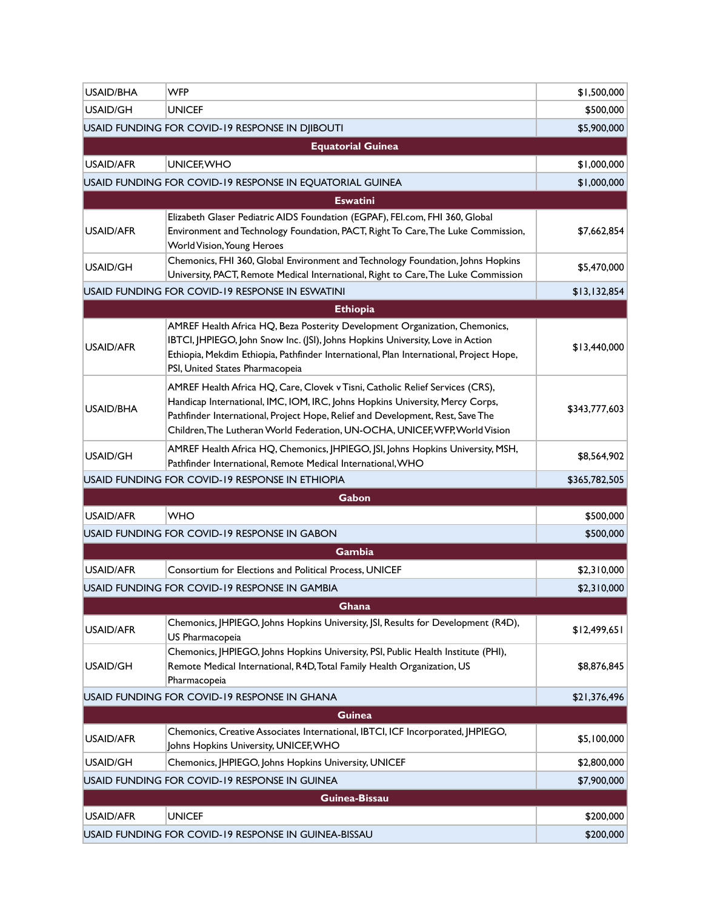| <b>USAID/BHA</b> | <b>WFP</b>                                                                                                                                                                                                                                                                                                                      | \$1,500,000   |
|------------------|---------------------------------------------------------------------------------------------------------------------------------------------------------------------------------------------------------------------------------------------------------------------------------------------------------------------------------|---------------|
| USAID/GH         | <b>UNICEF</b>                                                                                                                                                                                                                                                                                                                   | \$500,000     |
|                  | USAID FUNDING FOR COVID-19 RESPONSE IN DJIBOUTI                                                                                                                                                                                                                                                                                 | \$5,900,000   |
|                  | <b>Equatorial Guinea</b>                                                                                                                                                                                                                                                                                                        |               |
| USAID/AFR        | UNICEF, WHO                                                                                                                                                                                                                                                                                                                     | \$1,000,000   |
|                  | USAID FUNDING FOR COVID-19 RESPONSE IN EQUATORIAL GUINEA                                                                                                                                                                                                                                                                        | \$1,000,000   |
|                  | <b>Eswatini</b>                                                                                                                                                                                                                                                                                                                 |               |
| <b>USAID/AFR</b> | Elizabeth Glaser Pediatric AIDS Foundation (EGPAF), FEI.com, FHI 360, Global<br>Environment and Technology Foundation, PACT, Right To Care, The Luke Commission,<br>World Vision, Young Heroes                                                                                                                                  | \$7,662,854   |
| USAID/GH         | Chemonics, FHI 360, Global Environment and Technology Foundation, Johns Hopkins<br>University, PACT, Remote Medical International, Right to Care, The Luke Commission                                                                                                                                                           | \$5,470,000   |
|                  | USAID FUNDING FOR COVID-19 RESPONSE IN ESWATINI                                                                                                                                                                                                                                                                                 | \$13,132,854  |
|                  | <b>Ethiopia</b>                                                                                                                                                                                                                                                                                                                 |               |
| USAID/AFR        | AMREF Health Africa HQ, Beza Posterity Development Organization, Chemonics,<br>IBTCI, JHPIEGO, John Snow Inc. (JSI), Johns Hopkins University, Love in Action<br>Ethiopia, Mekdim Ethiopia, Pathfinder International, Plan International, Project Hope,<br>PSI, United States Pharmacopeia                                      | \$13,440,000  |
| <b>USAID/BHA</b> | AMREF Health Africa HQ, Care, Clovek v Tisni, Catholic Relief Services (CRS),<br>Handicap International, IMC, IOM, IRC, Johns Hopkins University, Mercy Corps,<br>Pathfinder International, Project Hope, Relief and Development, Rest, Save The<br>Children, The Lutheran World Federation, UN-OCHA, UNICEF, WFP, World Vision | \$343,777,603 |
| USAID/GH         | AMREF Health Africa HQ, Chemonics, JHPIEGO, JSI, Johns Hopkins University, MSH,<br>Pathfinder International, Remote Medical International, WHO                                                                                                                                                                                  | \$8,564,902   |
|                  |                                                                                                                                                                                                                                                                                                                                 |               |
|                  | USAID FUNDING FOR COVID-19 RESPONSE IN ETHIOPIA                                                                                                                                                                                                                                                                                 | \$365,782,505 |
|                  | Gabon                                                                                                                                                                                                                                                                                                                           |               |
| USAID/AFR        | <b>WHO</b>                                                                                                                                                                                                                                                                                                                      | \$500,000     |
|                  | USAID FUNDING FOR COVID-19 RESPONSE IN GABON                                                                                                                                                                                                                                                                                    | \$500,000     |
|                  | Gambia                                                                                                                                                                                                                                                                                                                          |               |
| USAID/AFR        | <b>Consortium for Elections and Political Process, UNICEF</b>                                                                                                                                                                                                                                                                   | \$2,310,000   |
|                  | USAID FUNDING FOR COVID-19 RESPONSE IN GAMBIA                                                                                                                                                                                                                                                                                   | \$2,310,000   |
|                  | Ghana                                                                                                                                                                                                                                                                                                                           |               |
| <b>USAID/AFR</b> | Chemonics, JHPIEGO, Johns Hopkins University, JSI, Results for Development (R4D),<br>US Pharmacopeia                                                                                                                                                                                                                            | \$12,499,651  |
| USAID/GH         | Chemonics, JHPIEGO, Johns Hopkins University, PSI, Public Health Institute (PHI),<br>Remote Medical International, R4D, Total Family Health Organization, US<br>Pharmacopeia                                                                                                                                                    | \$8,876,845   |
|                  | USAID FUNDING FOR COVID-19 RESPONSE IN GHANA                                                                                                                                                                                                                                                                                    | \$21,376,496  |
|                  | <b>Guinea</b>                                                                                                                                                                                                                                                                                                                   |               |
| <b>USAID/AFR</b> | Chemonics, Creative Associates International, IBTCI, ICF Incorporated, JHPIEGO,<br>Johns Hopkins University, UNICEF, WHO                                                                                                                                                                                                        | \$5,100,000   |
| USAID/GH         | Chemonics, JHPIEGO, Johns Hopkins University, UNICEF                                                                                                                                                                                                                                                                            | \$2,800,000   |
|                  | USAID FUNDING FOR COVID-19 RESPONSE IN GUINEA                                                                                                                                                                                                                                                                                   | \$7,900,000   |
|                  | Guinea-Bissau                                                                                                                                                                                                                                                                                                                   |               |
| USAID/AFR        | <b>UNICEF</b>                                                                                                                                                                                                                                                                                                                   | \$200,000     |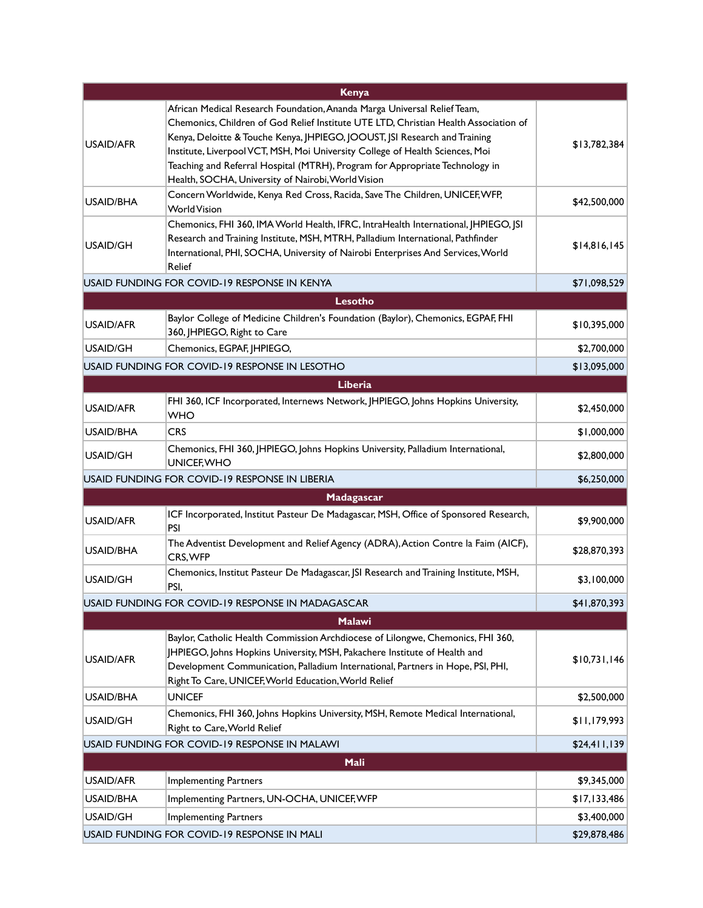|                                               | Kenya                                                                                                                                                                                                                                                                                                                                                                                                                                                                 |              |  |
|-----------------------------------------------|-----------------------------------------------------------------------------------------------------------------------------------------------------------------------------------------------------------------------------------------------------------------------------------------------------------------------------------------------------------------------------------------------------------------------------------------------------------------------|--------------|--|
| USAID/AFR                                     | African Medical Research Foundation, Ananda Marga Universal Relief Team,<br>Chemonics, Children of God Relief Institute UTE LTD, Christian Health Association of<br>Kenya, Deloitte & Touche Kenya, JHPIEGO, JOOUST, JSI Research and Training<br>Institute, Liverpool VCT, MSH, Moi University College of Health Sciences, Moi<br>Teaching and Referral Hospital (MTRH), Program for Appropriate Technology in<br>Health, SOCHA, University of Nairobi, World Vision | \$13,782,384 |  |
| <b>USAID/BHA</b>                              | Concern Worldwide, Kenya Red Cross, Racida, Save The Children, UNICEF, WFP,<br><b>World Vision</b>                                                                                                                                                                                                                                                                                                                                                                    | \$42,500,000 |  |
| USAID/GH                                      | Chemonics, FHI 360, IMA World Health, IFRC, IntraHealth International, JHPIEGO, JSI<br>Research and Training Institute, MSH, MTRH, Palladium International, Pathfinder<br>International, PHI, SOCHA, University of Nairobi Enterprises And Services, World<br>Relief                                                                                                                                                                                                  | \$14,816,145 |  |
|                                               | USAID FUNDING FOR COVID-19 RESPONSE IN KENYA                                                                                                                                                                                                                                                                                                                                                                                                                          | \$71,098,529 |  |
|                                               | Lesotho                                                                                                                                                                                                                                                                                                                                                                                                                                                               |              |  |
| USAID/AFR                                     | Baylor College of Medicine Children's Foundation (Baylor), Chemonics, EGPAF, FHI<br>360, JHPIEGO, Right to Care                                                                                                                                                                                                                                                                                                                                                       | \$10,395,000 |  |
| USAID/GH                                      | Chemonics, EGPAF, JHPIEGO,                                                                                                                                                                                                                                                                                                                                                                                                                                            | \$2,700,000  |  |
|                                               | USAID FUNDING FOR COVID-19 RESPONSE IN LESOTHO                                                                                                                                                                                                                                                                                                                                                                                                                        | \$13,095,000 |  |
|                                               | <b>Liberia</b>                                                                                                                                                                                                                                                                                                                                                                                                                                                        |              |  |
| USAID/AFR                                     | FHI 360, ICF Incorporated, Internews Network, JHPIEGO, Johns Hopkins University,<br><b>WHO</b>                                                                                                                                                                                                                                                                                                                                                                        | \$2,450,000  |  |
| USAID/BHA                                     | <b>CRS</b>                                                                                                                                                                                                                                                                                                                                                                                                                                                            | \$1,000,000  |  |
| <b>USAID/GH</b>                               | Chemonics, FHI 360, JHPIEGO, Johns Hopkins University, Palladium International,<br>UNICEF, WHO                                                                                                                                                                                                                                                                                                                                                                        | \$2,800,000  |  |
|                                               | USAID FUNDING FOR COVID-19 RESPONSE IN LIBERIA                                                                                                                                                                                                                                                                                                                                                                                                                        | \$6,250,000  |  |
|                                               | Madagascar                                                                                                                                                                                                                                                                                                                                                                                                                                                            |              |  |
| USAID/AFR                                     | ICF Incorporated, Institut Pasteur De Madagascar, MSH, Office of Sponsored Research,<br>PSI                                                                                                                                                                                                                                                                                                                                                                           | \$9,900,000  |  |
| USAID/BHA                                     | The Adventist Development and Relief Agency (ADRA), Action Contre la Faim (AICF),<br>CRS, WFP                                                                                                                                                                                                                                                                                                                                                                         | \$28,870,393 |  |
| USAID/GH                                      | Chemonics, Institut Pasteur De Madagascar, JSI Research and Training Institute, MSH,<br>PSI,                                                                                                                                                                                                                                                                                                                                                                          | \$3,100,000  |  |
|                                               | USAID FUNDING FOR COVID-19 RESPONSE IN MADAGASCAR                                                                                                                                                                                                                                                                                                                                                                                                                     | \$41,870,393 |  |
|                                               | <b>Malawi</b>                                                                                                                                                                                                                                                                                                                                                                                                                                                         |              |  |
| USAID/AFR                                     | Baylor, Catholic Health Commission Archdiocese of Lilongwe, Chemonics, FHI 360,<br>JHPIEGO, Johns Hopkins University, MSH, Pakachere Institute of Health and<br>Development Communication, Palladium International, Partners in Hope, PSI, PHI,<br>Right To Care, UNICEF, World Education, World Relief                                                                                                                                                               | \$10,731,146 |  |
| <b>USAID/BHA</b>                              | <b>UNICEF</b>                                                                                                                                                                                                                                                                                                                                                                                                                                                         | \$2,500,000  |  |
| <b>USAID/GH</b>                               | Chemonics, FHI 360, Johns Hopkins University, MSH, Remote Medical International,<br>Right to Care, World Relief                                                                                                                                                                                                                                                                                                                                                       | \$11,179,993 |  |
| USAID FUNDING FOR COVID-19 RESPONSE IN MALAWI |                                                                                                                                                                                                                                                                                                                                                                                                                                                                       | \$24,411,139 |  |
| <b>Mali</b>                                   |                                                                                                                                                                                                                                                                                                                                                                                                                                                                       |              |  |
| <b>USAID/AFR</b>                              | <b>Implementing Partners</b>                                                                                                                                                                                                                                                                                                                                                                                                                                          | \$9,345,000  |  |
| USAID/BHA                                     | Implementing Partners, UN-OCHA, UNICEF, WFP                                                                                                                                                                                                                                                                                                                                                                                                                           | \$17,133,486 |  |
| USAID/GH                                      | <b>Implementing Partners</b>                                                                                                                                                                                                                                                                                                                                                                                                                                          | \$3,400,000  |  |
|                                               | USAID FUNDING FOR COVID-19 RESPONSE IN MALI                                                                                                                                                                                                                                                                                                                                                                                                                           | \$29,878,486 |  |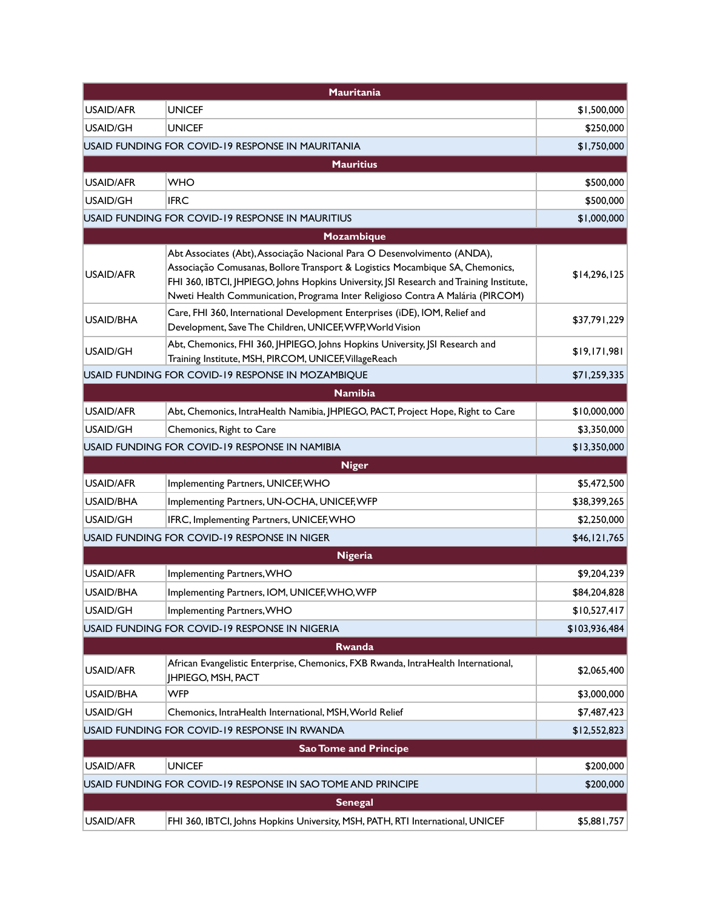| <b>Mauritania</b>                             |                                                                                                                                                                                                                                                                                                                                        |                |
|-----------------------------------------------|----------------------------------------------------------------------------------------------------------------------------------------------------------------------------------------------------------------------------------------------------------------------------------------------------------------------------------------|----------------|
| <b>USAID/AFR</b>                              | <b>UNICEF</b>                                                                                                                                                                                                                                                                                                                          | \$1,500,000    |
| USAID/GH                                      | <b>UNICEF</b>                                                                                                                                                                                                                                                                                                                          | \$250,000      |
|                                               | USAID FUNDING FOR COVID-19 RESPONSE IN MAURITANIA                                                                                                                                                                                                                                                                                      | \$1,750,000    |
|                                               | <b>Mauritius</b>                                                                                                                                                                                                                                                                                                                       |                |
| USAID/AFR                                     | <b>WHO</b>                                                                                                                                                                                                                                                                                                                             | \$500,000      |
| USAID/GH                                      | <b>IFRC</b>                                                                                                                                                                                                                                                                                                                            | \$500,000      |
|                                               | USAID FUNDING FOR COVID-19 RESPONSE IN MAURITIUS                                                                                                                                                                                                                                                                                       | \$1,000,000    |
|                                               | Mozambique                                                                                                                                                                                                                                                                                                                             |                |
| USAID/AFR                                     | Abt Associates (Abt), Associação Nacional Para O Desenvolvimento (ANDA),<br>Associação Comusanas, Bollore Transport & Logistics Mocambique SA, Chemonics,<br>FHI 360, IBTCI, JHPIEGO, Johns Hopkins University, JSI Research and Training Institute,<br>Nweti Health Communication, Programa Inter Religioso Contra A Malária (PIRCOM) | \$14,296,125   |
| <b>USAID/BHA</b>                              | Care, FHI 360, International Development Enterprises (iDE), IOM, Relief and<br>Development, Save The Children, UNICEF, WFP, World Vision                                                                                                                                                                                               | \$37,791,229   |
| USAID/GH                                      | Abt, Chemonics, FHI 360, JHPIEGO, Johns Hopkins University, JSI Research and<br>Training Institute, MSH, PIRCOM, UNICEF, VillageReach                                                                                                                                                                                                  | \$19,171,981   |
|                                               | USAID FUNDING FOR COVID-19 RESPONSE IN MOZAMBIQUE                                                                                                                                                                                                                                                                                      | \$71,259,335   |
|                                               | <b>Namibia</b>                                                                                                                                                                                                                                                                                                                         |                |
| <b>USAID/AFR</b>                              | Abt, Chemonics, IntraHealth Namibia, JHPIEGO, PACT, Project Hope, Right to Care                                                                                                                                                                                                                                                        | \$10,000,000   |
| USAID/GH                                      | Chemonics, Right to Care                                                                                                                                                                                                                                                                                                               | \$3,350,000    |
|                                               | USAID FUNDING FOR COVID-19 RESPONSE IN NAMIBIA                                                                                                                                                                                                                                                                                         | \$13,350,000   |
|                                               | <b>Niger</b>                                                                                                                                                                                                                                                                                                                           |                |
| USAID/AFR                                     | Implementing Partners, UNICEF, WHO                                                                                                                                                                                                                                                                                                     | \$5,472,500    |
| USAID/BHA                                     | Implementing Partners, UN-OCHA, UNICEF, WFP                                                                                                                                                                                                                                                                                            | \$38,399,265   |
| USAID/GH                                      | IFRC, Implementing Partners, UNICEF, WHO                                                                                                                                                                                                                                                                                               | \$2,250,000    |
|                                               | USAID FUNDING FOR COVID-19 RESPONSE IN NIGER                                                                                                                                                                                                                                                                                           | \$46, 121, 765 |
|                                               | <b>Nigeria</b>                                                                                                                                                                                                                                                                                                                         |                |
| <b>USAID/AFR</b>                              | Implementing Partners, WHO                                                                                                                                                                                                                                                                                                             | \$9,204,239    |
| USAID/BHA                                     | Implementing Partners, IOM, UNICEF, WHO, WFP                                                                                                                                                                                                                                                                                           | \$84,204,828   |
| <b>USAID/GH</b>                               | Implementing Partners, WHO                                                                                                                                                                                                                                                                                                             | \$10,527,417   |
|                                               | USAID FUNDING FOR COVID-19 RESPONSE IN NIGERIA                                                                                                                                                                                                                                                                                         | \$103,936,484  |
|                                               | Rwanda                                                                                                                                                                                                                                                                                                                                 |                |
| <b>USAID/AFR</b>                              | African Evangelistic Enterprise, Chemonics, FXB Rwanda, IntraHealth International,<br><b>JHPIEGO, MSH, PACT</b>                                                                                                                                                                                                                        | \$2,065,400    |
| <b>USAID/BHA</b>                              | <b>WFP</b>                                                                                                                                                                                                                                                                                                                             | \$3,000,000    |
| <b>USAID/GH</b>                               | Chemonics, IntraHealth International, MSH, World Relief                                                                                                                                                                                                                                                                                | \$7,487,423    |
| USAID FUNDING FOR COVID-19 RESPONSE IN RWANDA |                                                                                                                                                                                                                                                                                                                                        | \$12,552,823   |
|                                               | <b>Sao Tome and Principe</b>                                                                                                                                                                                                                                                                                                           |                |
| <b>USAID/AFR</b>                              | <b>UNICEF</b>                                                                                                                                                                                                                                                                                                                          | \$200,000      |
|                                               | USAID FUNDING FOR COVID-19 RESPONSE IN SAO TOME AND PRINCIPE                                                                                                                                                                                                                                                                           | \$200,000      |
|                                               | <b>Senegal</b>                                                                                                                                                                                                                                                                                                                         |                |
| USAID/AFR                                     | FHI 360, IBTCI, Johns Hopkins University, MSH, PATH, RTI International, UNICEF                                                                                                                                                                                                                                                         | \$5,881,757    |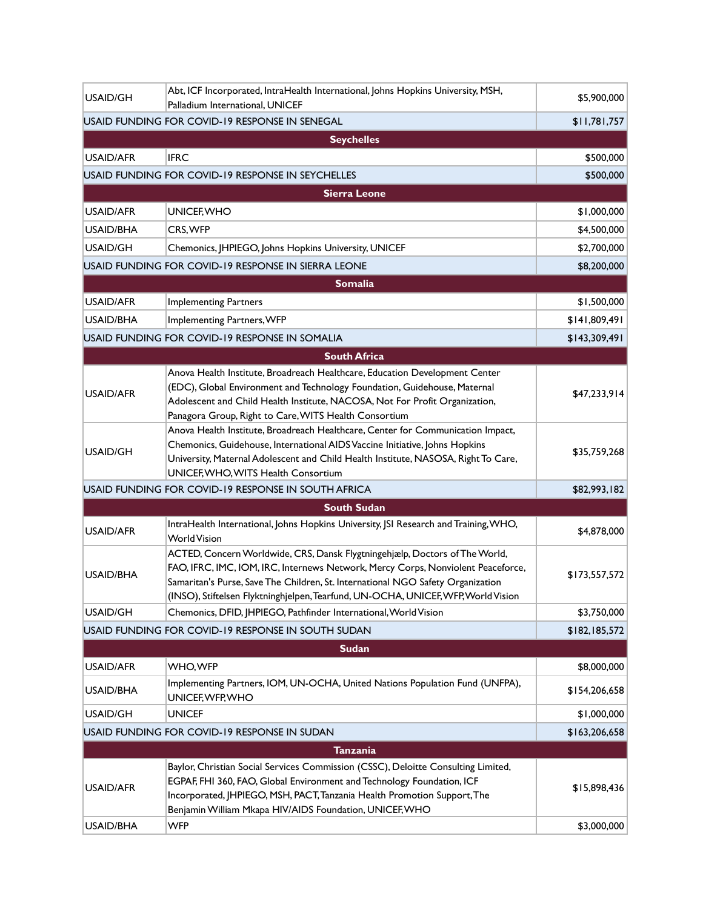| USAID/GH         | Abt, ICF Incorporated, IntraHealth International, Johns Hopkins University, MSH,<br>Palladium International, UNICEF                                                                                                                                                                                                                     | \$5,900,000   |
|------------------|-----------------------------------------------------------------------------------------------------------------------------------------------------------------------------------------------------------------------------------------------------------------------------------------------------------------------------------------|---------------|
|                  | USAID FUNDING FOR COVID-19 RESPONSE IN SENEGAL                                                                                                                                                                                                                                                                                          | \$11,781,757  |
|                  | <b>Seychelles</b>                                                                                                                                                                                                                                                                                                                       |               |
| USAID/AFR        | <b>IFRC</b>                                                                                                                                                                                                                                                                                                                             | \$500,000     |
|                  | USAID FUNDING FOR COVID-19 RESPONSE IN SEYCHELLES                                                                                                                                                                                                                                                                                       | \$500,000     |
|                  | <b>Sierra Leone</b>                                                                                                                                                                                                                                                                                                                     |               |
| <b>USAID/AFR</b> | UNICEF, WHO                                                                                                                                                                                                                                                                                                                             | \$1,000,000   |
| <b>USAID/BHA</b> | CRS, WFP                                                                                                                                                                                                                                                                                                                                | \$4,500,000   |
| USAID/GH         | Chemonics, JHPIEGO, Johns Hopkins University, UNICEF                                                                                                                                                                                                                                                                                    | \$2,700,000   |
|                  | USAID FUNDING FOR COVID-19 RESPONSE IN SIERRA LEONE                                                                                                                                                                                                                                                                                     | \$8,200,000   |
|                  | <b>Somalia</b>                                                                                                                                                                                                                                                                                                                          |               |
| USAID/AFR        | <b>Implementing Partners</b>                                                                                                                                                                                                                                                                                                            | \$1,500,000   |
| <b>USAID/BHA</b> | Implementing Partners, WFP                                                                                                                                                                                                                                                                                                              | \$141,809,491 |
|                  | USAID FUNDING FOR COVID-19 RESPONSE IN SOMALIA                                                                                                                                                                                                                                                                                          | \$143,309,491 |
|                  | <b>South Africa</b>                                                                                                                                                                                                                                                                                                                     |               |
| <b>USAID/AFR</b> | Anova Health Institute, Broadreach Healthcare, Education Development Center<br>(EDC), Global Environment and Technology Foundation, Guidehouse, Maternal<br>Adolescent and Child Health Institute, NACOSA, Not For Profit Organization,<br>Panagora Group, Right to Care, WITS Health Consortium                                        | \$47,233,914  |
| USAID/GH         | Anova Health Institute, Broadreach Healthcare, Center for Communication Impact,<br>Chemonics, Guidehouse, International AIDS Vaccine Initiative, Johns Hopkins<br>University, Maternal Adolescent and Child Health Institute, NASOSA, Right To Care,<br>UNICEF, WHO, WITS Health Consortium                                             | \$35,759,268  |
|                  | USAID FUNDING FOR COVID-19 RESPONSE IN SOUTH AFRICA                                                                                                                                                                                                                                                                                     | \$82,993,182  |
|                  | <b>South Sudan</b>                                                                                                                                                                                                                                                                                                                      |               |
| <b>USAID/AFR</b> | IntraHealth International, Johns Hopkins University, JSI Research and Training, WHO,<br><b>World Vision</b>                                                                                                                                                                                                                             | \$4,878,000   |
| <b>USAID/BHA</b> | ACTED, Concern Worldwide, CRS, Dansk Flygtningehjælp, Doctors of The World,<br>FAO, IFRC, IMC, IOM, IRC, Internews Network, Mercy Corps, Nonviolent Peaceforce,<br>Samaritan's Purse, Save The Children, St. International NGO Safety Organization<br>(INSO), Stiftelsen Flyktninghjelpen, Tearfund, UN-OCHA, UNICEF, WFP, World Vision | \$173,557,572 |
| USAID/GH         | Chemonics, DFID, JHPIEGO, Pathfinder International, World Vision                                                                                                                                                                                                                                                                        | \$3,750,000   |
|                  | USAID FUNDING FOR COVID-19 RESPONSE IN SOUTH SUDAN                                                                                                                                                                                                                                                                                      | \$182,185,572 |
|                  | <b>Sudan</b>                                                                                                                                                                                                                                                                                                                            |               |
| <b>USAID/AFR</b> | WHO, WFP                                                                                                                                                                                                                                                                                                                                | \$8,000,000   |
| USAID/BHA        | Implementing Partners, IOM, UN-OCHA, United Nations Population Fund (UNFPA),<br>UNICEF, WFP, WHO                                                                                                                                                                                                                                        | \$154,206,658 |
| USAID/GH         | <b>UNICEF</b>                                                                                                                                                                                                                                                                                                                           | \$1,000,000   |
|                  | USAID FUNDING FOR COVID-19 RESPONSE IN SUDAN                                                                                                                                                                                                                                                                                            | \$163,206,658 |
| <b>Tanzania</b>  |                                                                                                                                                                                                                                                                                                                                         |               |
| USAID/AFR        | Baylor, Christian Social Services Commission (CSSC), Deloitte Consulting Limited,<br>EGPAF, FHI 360, FAO, Global Environment and Technology Foundation, ICF<br>Incorporated, JHPIEGO, MSH, PACT, Tanzania Health Promotion Support, The<br>Benjamin William Mkapa HIV/AIDS Foundation, UNICEF, WHO                                      | \$15,898,436  |
| <b>USAID/BHA</b> | <b>WFP</b>                                                                                                                                                                                                                                                                                                                              | \$3,000,000   |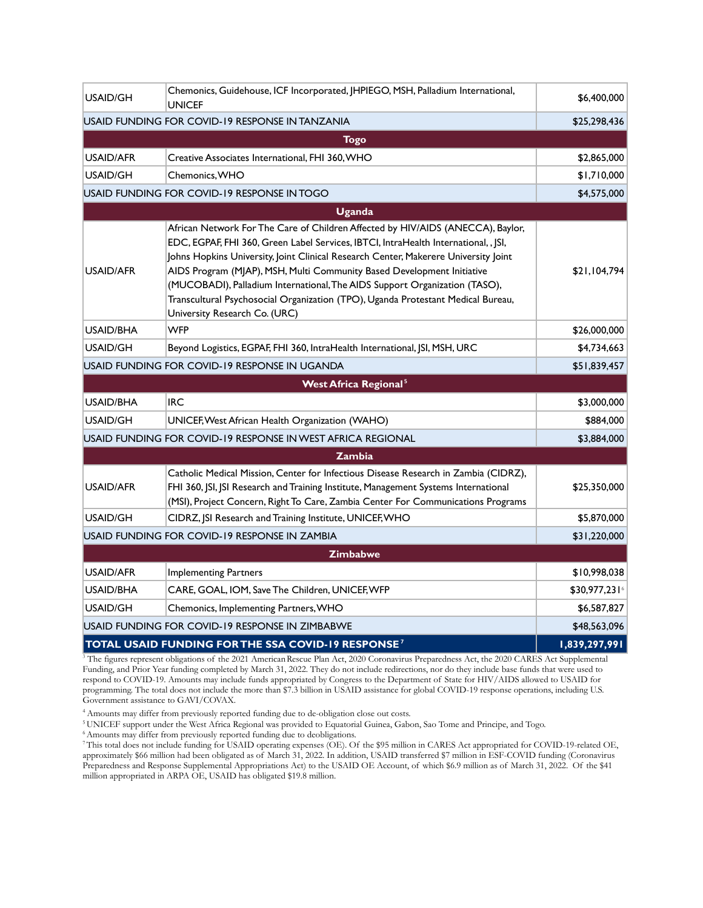| USAID/GH                                | Chemonics, Guidehouse, ICF Incorporated, JHPIEGO, MSH, Palladium International,<br><b>UNICEF</b>                                                                                                                                                                                                                                                                                                                                                                                                                                           | \$6,400,000   |
|-----------------------------------------|--------------------------------------------------------------------------------------------------------------------------------------------------------------------------------------------------------------------------------------------------------------------------------------------------------------------------------------------------------------------------------------------------------------------------------------------------------------------------------------------------------------------------------------------|---------------|
|                                         | USAID FUNDING FOR COVID-19 RESPONSE IN TANZANIA                                                                                                                                                                                                                                                                                                                                                                                                                                                                                            | \$25,298,436  |
|                                         | <b>Togo</b>                                                                                                                                                                                                                                                                                                                                                                                                                                                                                                                                |               |
| <b>USAID/AFR</b>                        | Creative Associates International, FHI 360, WHO                                                                                                                                                                                                                                                                                                                                                                                                                                                                                            | \$2,865,000   |
| <b>USAID/GH</b>                         | Chemonics, WHO                                                                                                                                                                                                                                                                                                                                                                                                                                                                                                                             | \$1,710,000   |
|                                         | USAID FUNDING FOR COVID-19 RESPONSE IN TOGO                                                                                                                                                                                                                                                                                                                                                                                                                                                                                                | \$4,575,000   |
|                                         | <b>Uganda</b>                                                                                                                                                                                                                                                                                                                                                                                                                                                                                                                              |               |
| <b>USAID/AFR</b>                        | African Network For The Care of Children Affected by HIV/AIDS (ANECCA), Baylor,<br>EDC, EGPAF, FHI 360, Green Label Services, IBTCI, IntraHealth International, , JSI,<br>Johns Hopkins University, Joint Clinical Research Center, Makerere University Joint<br>AIDS Program (MJAP), MSH, Multi Community Based Development Initiative<br>(MUCOBADI), Palladium International, The AIDS Support Organization (TASO),<br>Transcultural Psychosocial Organization (TPO), Uganda Protestant Medical Bureau,<br>University Research Co. (URC) | \$21,104,794  |
| <b>USAID/BHA</b>                        | <b>WFP</b>                                                                                                                                                                                                                                                                                                                                                                                                                                                                                                                                 | \$26,000,000  |
| <b>USAID/GH</b>                         | Beyond Logistics, EGPAF, FHI 360, IntraHealth International, JSI, MSH, URC                                                                                                                                                                                                                                                                                                                                                                                                                                                                 | \$4,734,663   |
|                                         | USAID FUNDING FOR COVID-19 RESPONSE IN UGANDA                                                                                                                                                                                                                                                                                                                                                                                                                                                                                              | \$51,839,457  |
| <b>West Africa Regional<sup>5</sup></b> |                                                                                                                                                                                                                                                                                                                                                                                                                                                                                                                                            |               |
| <b>USAID/BHA</b>                        | <b>IRC</b>                                                                                                                                                                                                                                                                                                                                                                                                                                                                                                                                 | \$3,000,000   |
| <b>USAID/GH</b>                         | UNICEF, West African Health Organization (WAHO)                                                                                                                                                                                                                                                                                                                                                                                                                                                                                            | \$884,000     |
|                                         | USAID FUNDING FOR COVID-19 RESPONSE IN WEST AFRICA REGIONAL                                                                                                                                                                                                                                                                                                                                                                                                                                                                                | \$3,884,000   |
| <b>Zambia</b>                           |                                                                                                                                                                                                                                                                                                                                                                                                                                                                                                                                            |               |
| <b>USAID/AFR</b>                        | Catholic Medical Mission, Center for Infectious Disease Research in Zambia (CIDRZ),<br>FHI 360, JSI, JSI Research and Training Institute, Management Systems International<br>(MSI), Project Concern, Right To Care, Zambia Center For Communications Programs                                                                                                                                                                                                                                                                             | \$25,350,000  |
| USAID/GH                                | CIDRZ, JSI Research and Training Institute, UNICEF, WHO                                                                                                                                                                                                                                                                                                                                                                                                                                                                                    | \$5,870,000   |
|                                         | USAID FUNDING FOR COVID-19 RESPONSE IN ZAMBIA                                                                                                                                                                                                                                                                                                                                                                                                                                                                                              | \$31,220,000  |
| <b>Zimbabwe</b>                         |                                                                                                                                                                                                                                                                                                                                                                                                                                                                                                                                            |               |
| <b>USAID/AFR</b>                        | <b>Implementing Partners</b>                                                                                                                                                                                                                                                                                                                                                                                                                                                                                                               | \$10,998,038  |
| <b>USAID/BHA</b>                        | CARE, GOAL, IOM, Save The Children, UNICEF, WFP                                                                                                                                                                                                                                                                                                                                                                                                                                                                                            | \$30,977,231  |
| USAID/GH                                | Chemonics, Implementing Partners, WHO                                                                                                                                                                                                                                                                                                                                                                                                                                                                                                      | \$6,587,827   |
|                                         | USAID FUNDING FOR COVID-19 RESPONSE IN ZIMBABWE                                                                                                                                                                                                                                                                                                                                                                                                                                                                                            | \$48,563,096  |
|                                         | TOTAL USAID FUNDING FOR THE SSA COVID-19 RESPONSE <sup>7</sup>                                                                                                                                                                                                                                                                                                                                                                                                                                                                             | 1,839,297,991 |

<sup>3</sup> The figures represent obligations of the 2021 American Rescue Plan Act, 2020 Coronavirus Preparedness Act, the 2020 CARES Act Supplemental Funding, and Prior Year funding completed by March 31, 2022. They do not include redirections, nor do they include base funds that were used to respond to COVID-19. Amounts may include funds appropriated by Congress to the Department of State for HIV/AIDS allowed to USAID for programming. The total does not include the more than \$7.3 billion in USAID assistance for global COVID-19 response operations, including U.S. Government assistance to GAVI/COVAX.

<sup>4</sup> Amounts may differ from previously reported funding due to de-obligation close out costs.

<sup>5</sup> UNICEF support under the West Africa Regional was provided to Equatorial Guinea, Gabon, Sao Tome and Principe, and Togo.

<sup>6</sup> Amounts may differ from previously reported funding due to deobligations.

 Preparedness and Response Supplemental Appropriations Act) to the USAID OE Account, of which \$6.9 million as of March 31, 2022. Of the \$41 million appropriated in ARPA OE, USAID has obligated \$19.8 million.7This total does not include funding for USAID operating expenses (OE). Of the \$95 million in CARES Act appropriated for COVID-19-related OE, approximately \$66 million had been obligated as of March 31, 2022. In addition, USAID transferred \$7 million in ESF-COVID funding (Coronavirus